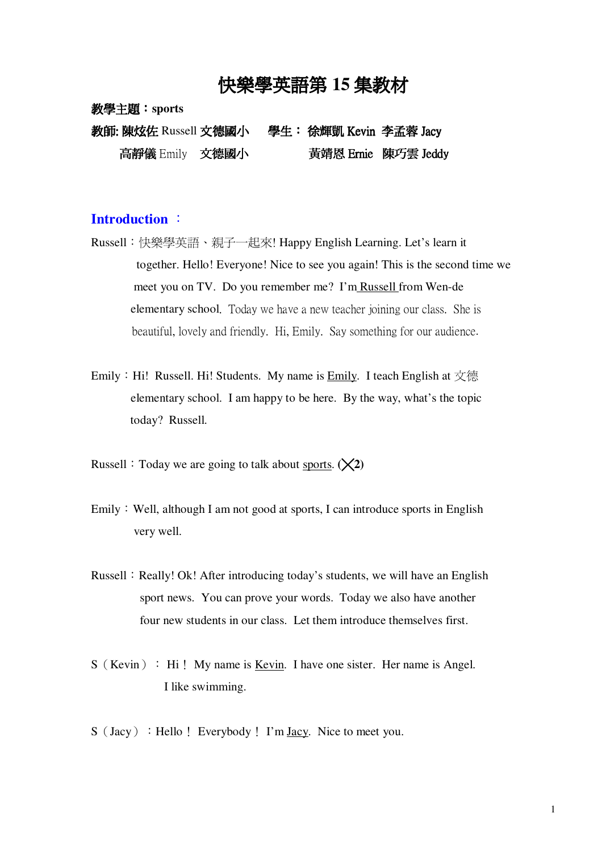# 快樂學英語第 15 集教材

教學主題:sports

教師: 陳炫佐 Russell 文德國小 - 學生: 徐輝凱 Kevin 李孟蓉 Jacy 高靜儀 Emily 文德國小 黃靖恩 Ernie 陳巧雲 Jeddy

#### **Introduction**

- Russell:快樂學英語、親子一起來! Happy English Learning. Let's learn it together. Hello! Everyone! Nice to see you again! This is the second time we meet you on TV. Do you remember me? I'm Russell from Wen-de elementary school. Today we have a new teacher joining our class. She is beautiful, lovely and friendly. Hi, Emily. Say something for our audience.
- Emily: Hi! Russell. Hi! Students. My name is Emily. I teach English at  $\overline{\chi}$ 德 elementary school. I am happy to be here. By the way, what's the topic today? Russell.

Russell : Today we are going to talk about sports.  $(\times 2)$ 

- Emily: Well, although I am not good at sports, I can introduce sports in English very well.
- Russell: Really! Ok! After introducing today's students, we will have an English sport news. You can prove your words. Today we also have another four new students in our class. Let them introduce themselves first.
- $S$  (Kevin) : Hi! My name is <u>Kevin</u>. I have one sister. Her name is Angel. I like swimming.
- $S$  (Jacy) : Hello! Everybody! I'm Jacy. Nice to meet you.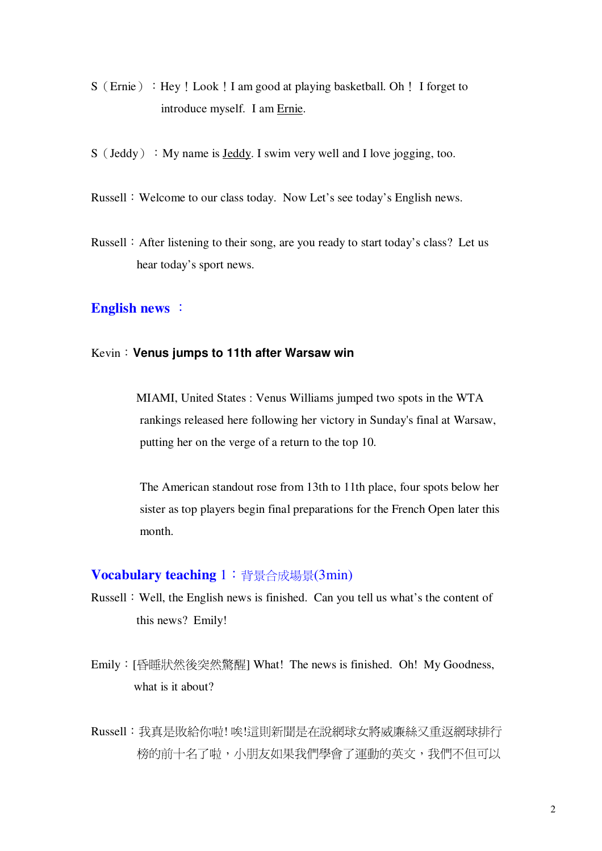- S (Ernie) : Hey! Look! I am good at playing basketball. Oh! I forget to introduce myself. I am Ernie.
- $S$  (Jeddy) : My name is <u>Jeddy</u>. I swim very well and I love jogging, too.
- Russell: Welcome to our class today. Now Let's see today's English news.
- Russell : After listening to their song, are you ready to start today's class? Let us hear today's sport news.

### **English news**

#### Kevin**Venus jumps to 11th after Warsaw win**

MIAMI, United States : Venus Williams jumped two spots in the WTA rankings released here following her victory in Sunday's final at Warsaw, putting her on the verge of a return to the top 10.

The American standout rose from 13th to 11th place, four spots below her sister as top players begin final preparations for the French Open later this month.

#### **Vocabulary teaching** 1: 背景合成場景(3min)

- Russell: Well, the English news is finished. Can you tell us what's the content of this news? Emily!
- Emily: [昏睡狀然後突然驚醒] What! The news is finished. Oh! My Goodness, what is it about?
- Russell: 我真是敗給你啦! 唉!這則新聞是在說網球女將威廉絲又重返網球排行 榜的前十名了啦,小朋友如果我們學會了運動的英文,我們不但可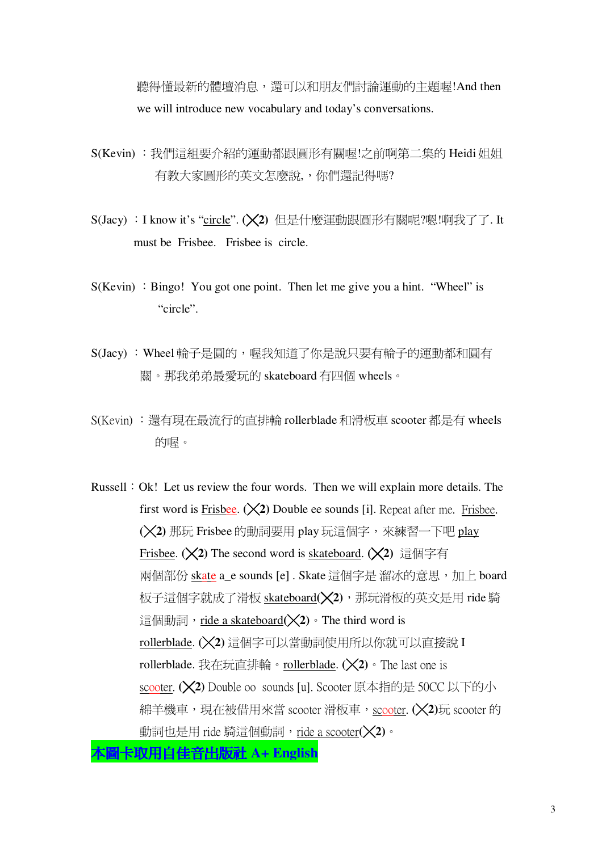聽得懂最新的體壇消息,還可以和朋友們討論運動的主題喔!And then we will introduce new vocabulary and today's conversations.

- S(Kevin) :我們這組要介紹的運動都跟圓形有關喔!之前啊第二集的 Heidi 姐姐 有教大家圓形的英文怎麼說,,你們還記得嗎?
- S(Jacy): I know it's "circle". (X2) 但是什麼運動跟圓形有關呢?嗯!啊我了了. It must be Frisbee. Frisbee is circle.
- $S(Kevin)$ : Bingo! You got one point. Then let me give you a hint. "Wheel" is "circle".
- S(Jacy): Wheel輪子是圓的,喔我知道了你是說只要有輪子的運動都和圓有 關。那我弟弟最愛玩的 skateboard 有四個 wheels。
- S(Kevin) :還有現在最流行的直排輪 rollerblade 和滑板車 scooter 都是有 wheels 的喔。

Russell : Ok! Let us review the four words. Then we will explain more details. The first word is Frisbee.  $(\times 2)$  Double ee sounds [i]. Repeat after me. Frisbee.  $(\mathsf{X}2)$  那玩 Frisbee 的動詞要用 play 玩這個字,來練習一下吧 play Frisbee. ( $\angle$ 2) The second word is skateboard. ( $\angle$ 2) 這個字有 兩個部份 skate a\_e sounds [e]. Skate 這個字是 溜冰的意思,加上 board 板子這個字就成了滑板 skateboard(X2), 那玩滑板的英文是用 ride 騎 這個動詞, ride a skateboard(X2) · The third word is rollerblade. (X2)這個字可以當動詞使用所以你就可以直接說 I rollerblade. 我在玩直排輪。rollerblade.  $(\times 2)$  • The last one is scooter. ( $\chi$ 2) Double oo sounds [u]. Scooter 原本指的是 50CC 以下的小 綿羊機車,現在被借用來當 scooter 滑板車,scooter. (×2)玩 scooter 的 動詞也是用 ride 騎這個動詞, ride a scooter(×2)。

ミ取用自佳音出版社 A+ English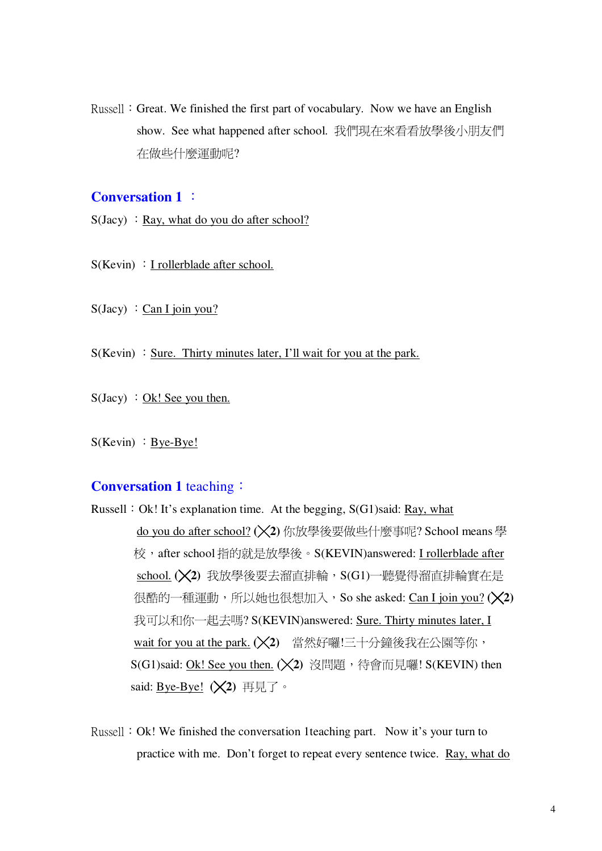Russell: Great. We finished the first part of vocabulary. Now we have an English show. See what happened after school. 我們現在來看看放學後小朋友們 在做些什麼運動呢?

## **Conversation 1:**

 $S(Jacy)$ : Ray, what do you do after school?

 $S(Kevin)$ : I rollerblade after school.

 $S(Jacy)$  : Can I join you?

 $S(Kevin)$ : Sure. Thirty minutes later, I'll wait for you at the park.

 $S(Jacy) : Ok!$  See you then.

 $S(Kevin) : Bye-Bye!$ 

### **Conversation 1 teaching:**

- Russell: Ok! It's explanation time. At the begging, S(G1)said: Ray, what do you do after school? (X2) 你放學後要做些什麼事呢? School means 學 校, after school 指的就是放學後。S(KEVIN)answered: I rollerblade after school. (X2) 我放學後要去溜直排輪, S(G1)一聽覺得溜直排輪實在是 很酷的一種運動,所以她也很想加入, So she asked: Can I join you? (X2) 我可以和你一起去嗎? S(KEVIN)answered: Sure. Thirty minutes later, I wait for you at the park. (X2) 當然好囉!三十分鐘後我在公園等你, S(G1)said: Ok! See you then. (X2) 沒問題, 待會而見囉! S(KEVIN) then said: Bye-Bye!  $(\times 2)$  再見了。
- Russell: Ok! We finished the conversation 1 teaching part. Now it's your turn to practice with me. Don't forget to repeat every sentence twice. Ray, what do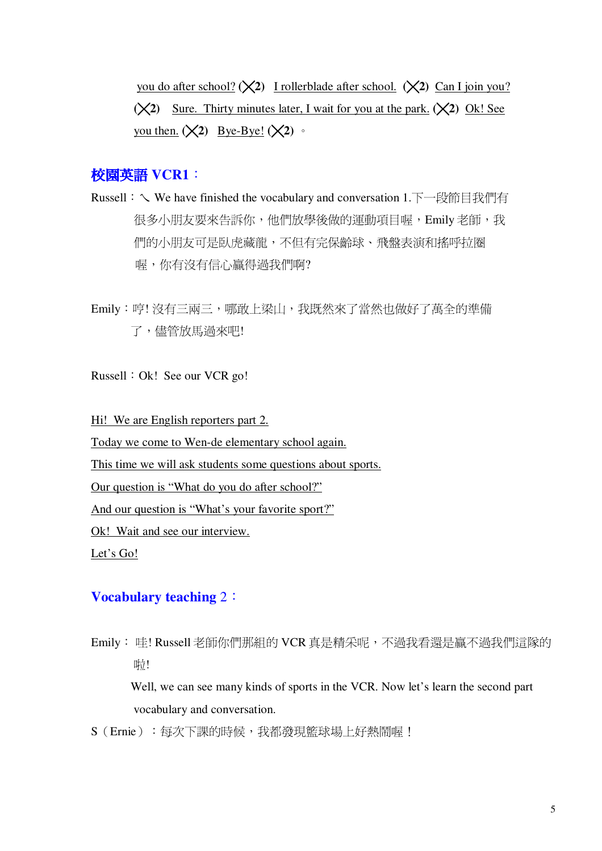you do after school? ( $\chi$ 2) I rollerblade after school. ( $\chi$ 2) Can I join you?  $(\times 2)$  Sure. Thirty minutes later, I wait for you at the park.  $(\times 2)$  Ok! See you then.  $(\times 2)$  Bye-Bye!  $(\times 2)$  ·

### 校園英語 VCR1:

Russell: V We have finished the vocabulary and conversation 1.下一段節目我們有 很多小朋友要來告訴你,他們放學後做的運動項目喔,Emily 老師,我 們的小朋友可是臥虎藏龍,不但有完保齡球、飛盤表演和搖呼拉圈 喔,你有沒有信心贏得過我們啊?

Emily: 哼! 沒有三兩三, 哪敢上梁山, 我既然來了當然也做好了萬全的準備 了,儘管放馬過來吧!

Russell : Ok! See our VCR go!

Hi! We are English reporters part 2.

Today we come to Wen-de elementary school again.

This time we will ask students some questions about sports.

Our question is "What do you do after school?"

And our question is "What's your favorite sport?"

Ok! Wait and see our interview.

Let's Go!

## **Vocabulary teaching 2:**

Emily: 哇! Russell 老師你們那組的 VCR 真是精采呢, 不過我看還是贏不過我們這隊的 呦!

Well, we can see many kinds of sports in the VCR. Now let's learn the second part vocabulary and conversation.

S (Ernie): 每次下課的時候, 我都發現籃球場上好熱鬧喔!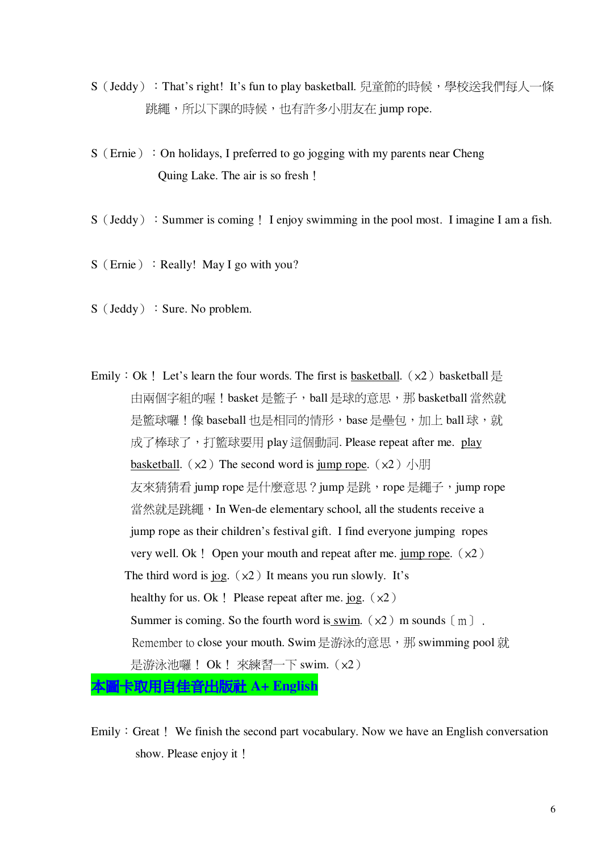- S(Jeddy):That's right! It's fun to play basketball. 兒童節的時候,學校送我們每人一條 跳繩,所以下課的時候,也有許多小朋友在 jump rope.
- $S$  (Ernie) : On holidays, I preferred to go jogging with my parents near Cheng Quing Lake. The air is so fresh.
- $S$  (Jeddy): Summer is coming. I enjoy swimming in the pool most. I imagine I am a fish.
- $S$  (Ernie) : Really! May I go with you?
- $S$  (Jeddy) : Sure. No problem.
- Emily: Ok! Let's learn the four words. The first is basketball.  $(x2)$  basketball  $\frac{11}{12}$ 由兩個字組的喔!basket 是籃子, ball 是球的意思, 那 basketball 當然就 是籃球囉!像 baseball 也是相同的情形, base 是壘包, 加上 ball 球, 就 成了棒球了,打籃球要用 play 這個動詞. Please repeat after me. play basketball.  $(x2)$  The second word is jump rope.  $(x2)$   $\sqrt{15}$ 友來猜猜看 jump rope 是什麼意思?jump 是跳, rope 是繩子, jump rope 當然就是跳繩, In Wen-de elementary school, all the students receive a jump rope as their children's festival gift. I find everyone jumping ropes very well. Ok! Open your mouth and repeat after me. jump rope.  $(x2)$ The third word is jog.  $(x2)$  It means you run slowly. It's healthy for us. Ok! Please repeat after me. jog.  $(x2)$ Summer is coming. So the fourth word is <u>swim</u>.  $(x2)$  m sounds  $[m]$ . Remember to close your mouth. Swim 是游泳的意思,那 swimming pool 就 是游泳池囉! Ok! 來練習一下 swim.  $(x2)$ 本圖 **A+ English**
- Emily: Great! We finish the second part vocabulary. Now we have an English conversation show. Please enjoy it!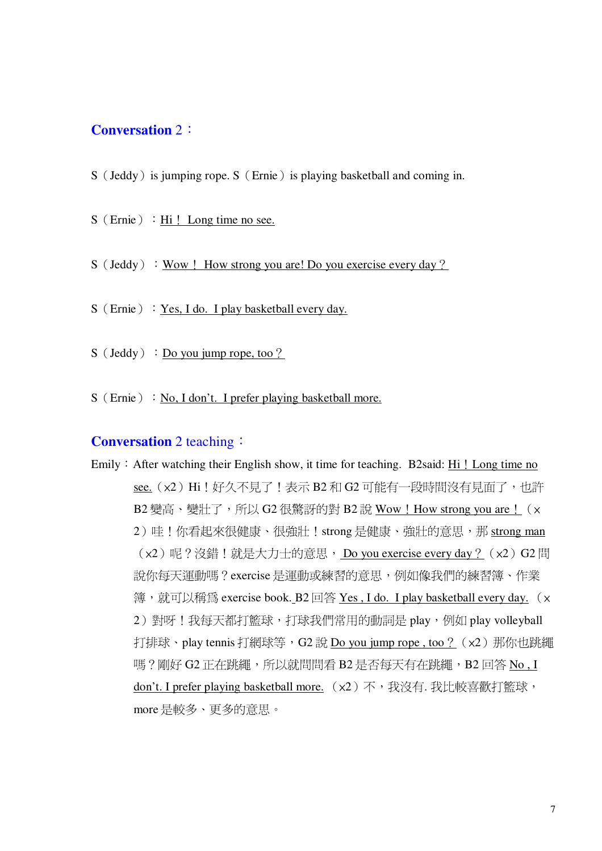## **Conversation 2:**

- S (Jeddy) is jumping rope. S (Ernie) is playing basketball and coming in.
- $S$  (Ernie) : Hi! Long time no see.
- $S$  (Jeddy) : Wow! How strong you are! Do you exercise every day?
- S (Ernie) : Yes, I do. I play basketball every day.
- $S$  (Jeddy) : Do you jump rope, too ?
- $S$  (Ernie) : No, I don't. I prefer playing basketball more.

#### **Conversation** 2 teaching:

Emily: After watching their English show, it time for teaching. B2said: Hi! Long time no see. (x2) Hi! 好久不見了! 表示 B2 和 G2 可能有一段時間沒有見面了, 也許 B2 變高、變壯了,所以 G2 很驚訝的對 B2 說 Wow ! How strong you are ! (x 2)哇!你看起來很健康、很強壯!strong是健康、強壯的意思,那 strong man (x2)呢?沒錯!就是大力士的意思, Do you exercise every day ? (x2) G2 問 說你每天運動嗎?exercise是運動或練習的意思,例如像我們的練習簿、作業 簿, 就可以稱爲 exercise book. B2回答 Yes, I do. I play basketball every day. (x 2) 對呀!我每天都打籃球,打球我們常用的動詞是 play, 例如 play volleyball 打排球、play tennis 打網球等, G2 說 Do you jump rope, too ? (x2) 那你也跳繩 嗎?剛好 G2 正在跳繩, 所以就問問看 B2 是否每天有在跳繩, B2 回答 No. I don't. I prefer playing basketball more. (x2) 不, 我沒有. 我比較喜歡打籃球, more是較多、更多的意思。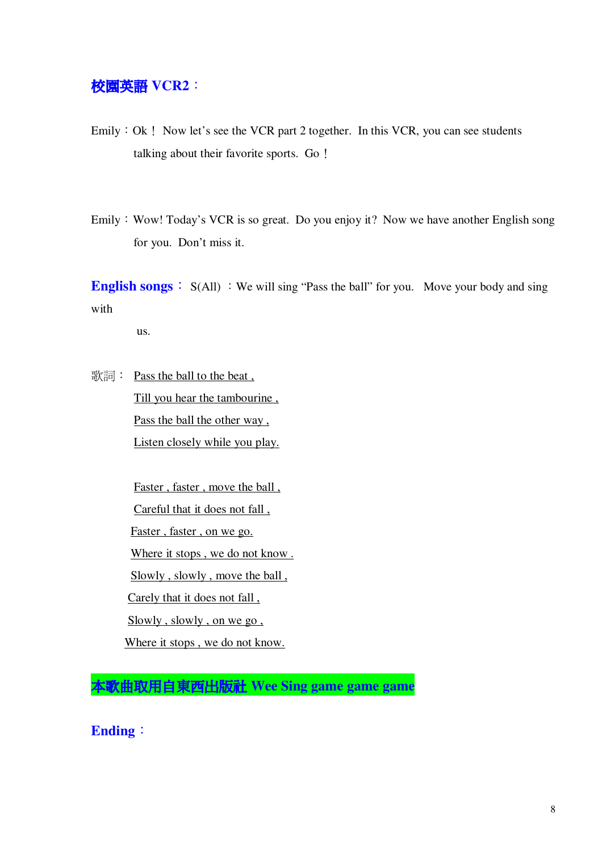## 校園英語 VCR2:

Emily: Ok! Now let's see the VCR part 2 together. In this VCR, you can see students talking about their favorite sports. Go.

Emily: Wow! Today's VCR is so great. Do you enjoy it? Now we have another English song for you. Don't miss it.

**English songs**  $\colon S(AII) : We will sing "Pass the ball" for you. Move your body and sing$ with

us.

歌詞: Pass the ball to the beat, Till you hear the tambourine , Pass the ball the other way , Listen closely while you play.

> Faster , faster , move the ball , Careful that it does not fall , Faster , faster , on we go. Where it stops, we do not know. Slowly, slowly, move the ball, Carely that it does not fall, Slowly , slowly , on we go , Where it stops , we do not know.

 **Wee Sing game game game**

**Ending**